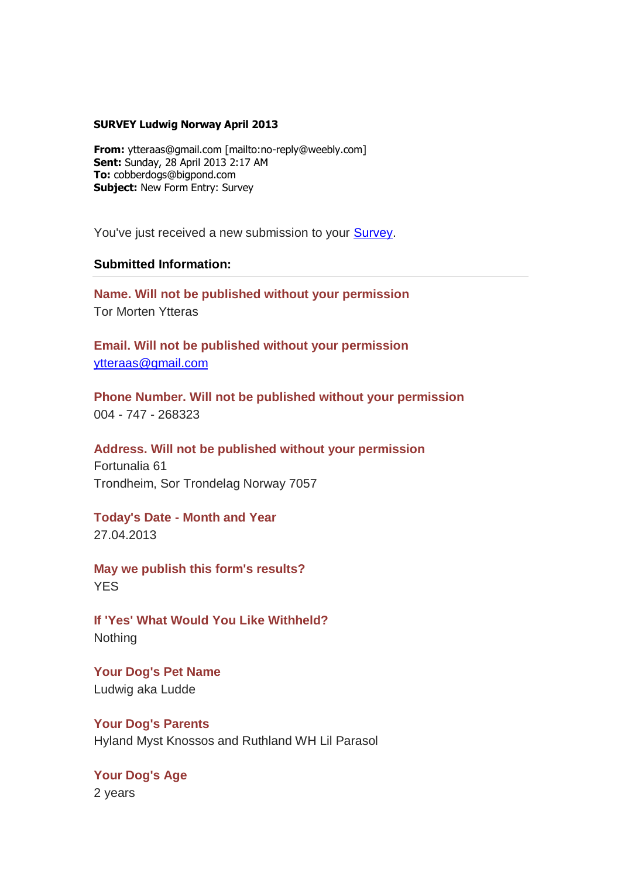## **SURVEY Ludwig Norway April 2013**

**From:** ytteraas@gmail.com [mailto:no-reply@weebly.com] **Sent:** Sunday, 28 April 2013 2:17 AM **To:** cobberdogs@bigpond.com **Subject:** New Form Entry: Survey

You've just received a new submission to your **Survey**.

## **Submitted Information:**

**Name. Will not be published without your permission** Tor Morten Ytteras

**Email. Will not be published without your permission** [ytteraas@gmail.com](mailto:ytteraas@gmail.com)

**Phone Number. Will not be published without your permission** 004 - 747 - 268323

**Address. Will not be published without your permission**

Fortunalia 61 Trondheim, Sor Trondelag Norway 7057

**Today's Date - Month and Year** 27.04.2013

**May we publish this form's results?**  YES

**If 'Yes' What Would You Like Withheld? Nothing** 

**Your Dog's Pet Name**  Ludwig aka Ludde

**Your Dog's Parents**  Hyland Myst Knossos and Ruthland WH Lil Parasol

**Your Dog's Age** 2 years